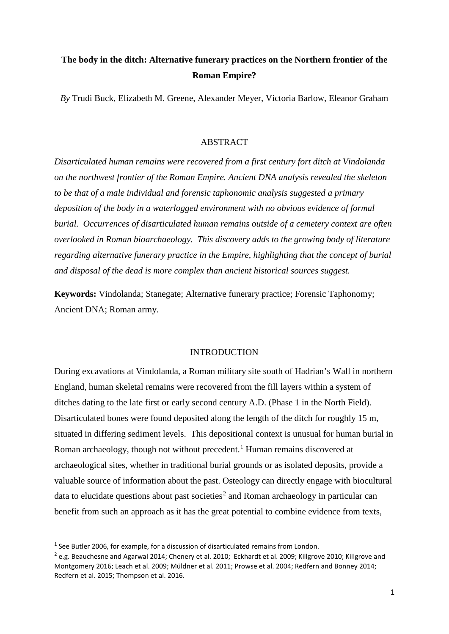# **The body in the ditch: Alternative funerary practices on the Northern frontier of the Roman Empire?**

*By* Trudi Buck, Elizabeth M. Greene, Alexander Meyer, Victoria Barlow, Eleanor Graham

## ABSTRACT

*Disarticulated human remains were recovered from a first century fort ditch at Vindolanda on the northwest frontier of the Roman Empire. Ancient DNA analysis revealed the skeleton to be that of a male individual and forensic taphonomic analysis suggested a primary deposition of the body in a waterlogged environment with no obvious evidence of formal burial. Occurrences of disarticulated human remains outside of a cemetery context are often overlooked in Roman bioarchaeology. This discovery adds to the growing body of literature regarding alternative funerary practice in the Empire, highlighting that the concept of burial and disposal of the dead is more complex than ancient historical sources suggest.*

**Keywords:** Vindolanda; Stanegate; Alternative funerary practice; Forensic Taphonomy; Ancient DNA; Roman army.

# INTRODUCTION

During excavations at Vindolanda, a Roman military site south of Hadrian's Wall in northern England, human skeletal remains were recovered from the fill layers within a system of ditches dating to the late first or early second century A.D. (Phase 1 in the North Field). Disarticulated bones were found deposited along the length of the ditch for roughly 15 m, situated in differing sediment levels. This depositional context is unusual for human burial in Roman archaeology, though not without precedent.<sup>[1](#page-0-0)</sup> Human remains discovered at archaeological sites, whether in traditional burial grounds or as isolated deposits, provide a valuable source of information about the past. Osteology can directly engage with biocultural data to elucidate questions about past societies<sup>[2](#page-0-1)</sup> and Roman archaeology in particular can benefit from such an approach as it has the great potential to combine evidence from texts,

<span id="page-0-0"></span> $1$  See Butler 2006, for example, for a discussion of disarticulated remains from London.

<span id="page-0-1"></span> $^2$  e.g. Beauchesne and Agarwal 2014; Chenery et al. 2010; Eckhardt et al. 2009; Killgrove 2010; Killgrove and Montgomery 2016; Leach et al. 2009; Müldner et al. 2011; Prowse et al. 2004; Redfern and Bonney 2014; Redfern et al. 2015; Thompson et al. 2016.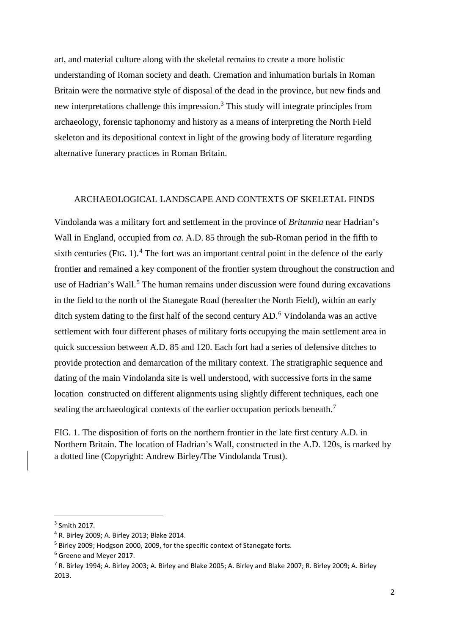art, and material culture along with the skeletal remains to create a more holistic understanding of Roman society and death. Cremation and inhumation burials in Roman Britain were the normative style of disposal of the dead in the province, but new finds and new interpretations challenge this impression. [3](#page-1-0) This study will integrate principles from archaeology, forensic taphonomy and history as a means of interpreting the North Field skeleton and its depositional context in light of the growing body of literature regarding alternative funerary practices in Roman Britain.

## ARCHAEOLOGICAL LANDSCAPE AND CONTEXTS OF SKELETAL FINDS

Vindolanda was a military fort and settlement in the province of *Britannia* near Hadrian's Wall in England, occupied from *ca*. A.D. 85 through the sub-Roman period in the fifth to sixth centuries (FIG. 1).<sup>[4](#page-1-1)</sup> The fort was an important central point in the defence of the early frontier and remained a key component of the frontier system throughout the construction and use of Hadrian's Wall.<sup>[5](#page-1-2)</sup> The human remains under discussion were found during excavations in the field to the north of the Stanegate Road (hereafter the North Field), within an early ditch system dating to the first half of the second century AD. [6](#page-1-3) Vindolanda was an active settlement with four different phases of military forts occupying the main settlement area in quick succession between A.D. 85 and 120. Each fort had a series of defensive ditches to provide protection and demarcation of the military context. The stratigraphic sequence and dating of the main Vindolanda site is well understood, with successive forts in the same location constructed on different alignments using slightly different techniques, each one sealing the archaeological contexts of the earlier occupation periods beneath.<sup>[7](#page-1-4)</sup>

FIG. 1. The disposition of forts on the northern frontier in the late first century A.D. in Northern Britain. The location of Hadrian's Wall, constructed in the A.D. 120s, is marked by a dotted line (Copyright: Andrew Birley/The Vindolanda Trust).

<span id="page-1-0"></span> <sup>3</sup> Smith 2017.

<span id="page-1-1"></span><sup>4</sup> R. Birley 2009; A. Birley 2013; Blake 2014.

<span id="page-1-2"></span><sup>5</sup> Birley 2009; Hodgson 2000, 2009, for the specific context of Stanegate forts.

<span id="page-1-3"></span><sup>6</sup> Greene and Meyer 2017.

<span id="page-1-4"></span><sup>7</sup> R. Birley 1994; A. Birley 2003; A. Birley and Blake 2005; A. Birley and Blake 2007; R. Birley 2009; A. Birley 2013.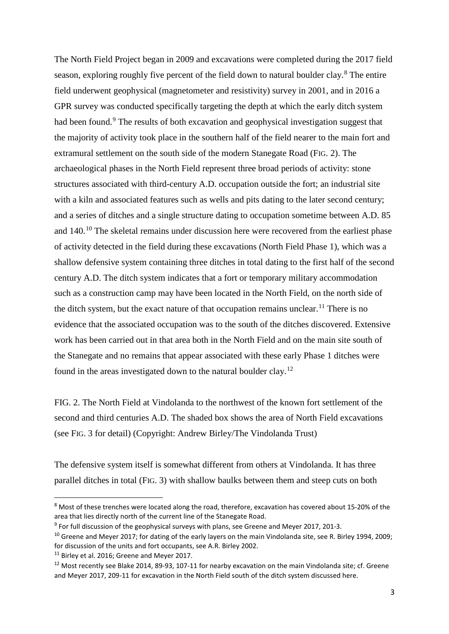The North Field Project began in 2009 and excavations were completed during the 2017 field season, exploring roughly five percent of the field down to natural boulder clay.<sup>[8](#page-2-0)</sup> The entire field underwent geophysical (magnetometer and resistivity) survey in 2001, and in 2016 a GPR survey was conducted specifically targeting the depth at which the early ditch system had been found.<sup>[9](#page-2-1)</sup> The results of both excavation and geophysical investigation suggest that the majority of activity took place in the southern half of the field nearer to the main fort and extramural settlement on the south side of the modern Stanegate Road (FIG. 2). The archaeological phases in the North Field represent three broad periods of activity: stone structures associated with third-century A.D. occupation outside the fort; an industrial site with a kiln and associated features such as wells and pits dating to the later second century; and a series of ditches and a single structure dating to occupation sometime between A.D. 85 and 140.[10](#page-2-2) The skeletal remains under discussion here were recovered from the earliest phase of activity detected in the field during these excavations (North Field Phase 1), which was a shallow defensive system containing three ditches in total dating to the first half of the second century A.D. The ditch system indicates that a fort or temporary military accommodation such as a construction camp may have been located in the North Field, on the north side of the ditch system, but the exact nature of that occupation remains unclear.<sup>[11](#page-2-3)</sup> There is no evidence that the associated occupation was to the south of the ditches discovered. Extensive work has been carried out in that area both in the North Field and on the main site south of the Stanegate and no remains that appear associated with these early Phase 1 ditches were found in the areas investigated down to the natural boulder clay.[12](#page-2-4)

FIG. 2. The North Field at Vindolanda to the northwest of the known fort settlement of the second and third centuries A.D. The shaded box shows the area of North Field excavations (see FIG. 3 for detail) (Copyright: Andrew Birley/The Vindolanda Trust)

The defensive system itself is somewhat different from others at Vindolanda. It has three parallel ditches in total (FIG. 3) with shallow baulks between them and steep cuts on both

<span id="page-2-0"></span> <sup>8</sup> Most of these trenches were located along the road, therefore, excavation has covered about 15-20% of the area that lies directly north of the current line of the Stanegate Road.

<span id="page-2-1"></span> $9$  For full discussion of the geophysical surveys with plans, see Greene and Meyer 2017, 201-3.

<span id="page-2-2"></span><sup>&</sup>lt;sup>10</sup> Greene and Meyer 2017; for dating of the early layers on the main Vindolanda site, see R. Birley 1994, 2009; for discussion of the units and fort occupants, see A.R. Birley 2002.

<span id="page-2-3"></span><sup>&</sup>lt;sup>11</sup> Birley et al. 2016; Greene and Meyer 2017.

<span id="page-2-4"></span><sup>&</sup>lt;sup>12</sup> Most recently see Blake 2014, 89-93, 107-11 for nearby excavation on the main Vindolanda site; cf. Greene and Meyer 2017, 209-11 for excavation in the North Field south of the ditch system discussed here.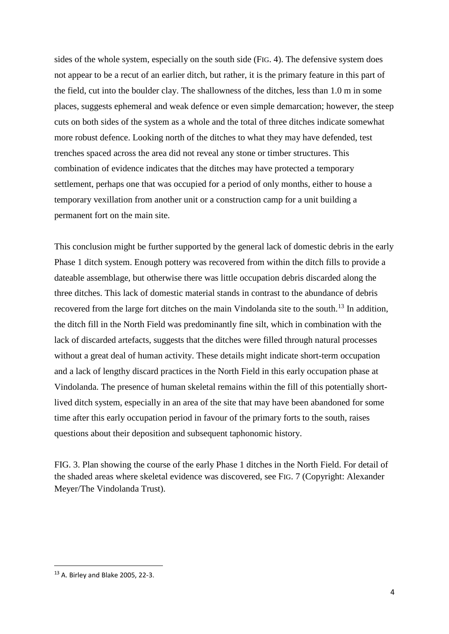sides of the whole system, especially on the south side (FIG. 4). The defensive system does not appear to be a recut of an earlier ditch, but rather, it is the primary feature in this part of the field, cut into the boulder clay. The shallowness of the ditches, less than 1.0 m in some places, suggests ephemeral and weak defence or even simple demarcation; however, the steep cuts on both sides of the system as a whole and the total of three ditches indicate somewhat more robust defence. Looking north of the ditches to what they may have defended, test trenches spaced across the area did not reveal any stone or timber structures. This combination of evidence indicates that the ditches may have protected a temporary settlement, perhaps one that was occupied for a period of only months, either to house a temporary vexillation from another unit or a construction camp for a unit building a permanent fort on the main site.

This conclusion might be further supported by the general lack of domestic debris in the early Phase 1 ditch system. Enough pottery was recovered from within the ditch fills to provide a dateable assemblage, but otherwise there was little occupation debris discarded along the three ditches. This lack of domestic material stands in contrast to the abundance of debris recovered from the large fort ditches on the main Vindolanda site to the south.<sup>[13](#page-3-0)</sup> In addition, the ditch fill in the North Field was predominantly fine silt, which in combination with the lack of discarded artefacts, suggests that the ditches were filled through natural processes without a great deal of human activity. These details might indicate short-term occupation and a lack of lengthy discard practices in the North Field in this early occupation phase at Vindolanda. The presence of human skeletal remains within the fill of this potentially shortlived ditch system, especially in an area of the site that may have been abandoned for some time after this early occupation period in favour of the primary forts to the south, raises questions about their deposition and subsequent taphonomic history.

FIG. 3. Plan showing the course of the early Phase 1 ditches in the North Field. For detail of the shaded areas where skeletal evidence was discovered, see FIG. 7 (Copyright: Alexander Meyer/The Vindolanda Trust).

<span id="page-3-0"></span> <sup>13</sup> A. Birley and Blake 2005, 22-3.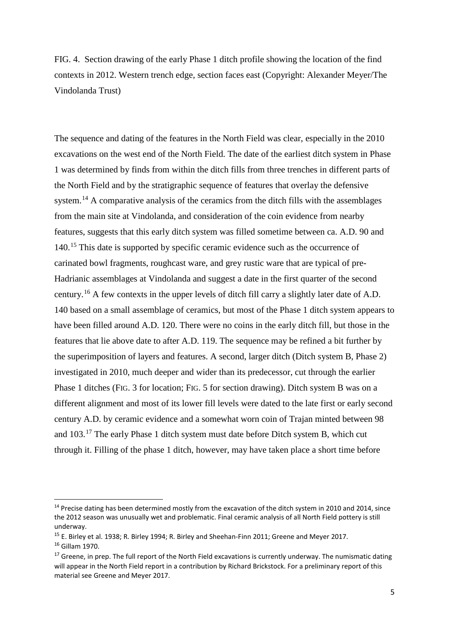FIG. 4. Section drawing of the early Phase 1 ditch profile showing the location of the find contexts in 2012. Western trench edge, section faces east (Copyright: Alexander Meyer/The Vindolanda Trust)

The sequence and dating of the features in the North Field was clear, especially in the 2010 excavations on the west end of the North Field. The date of the earliest ditch system in Phase 1 was determined by finds from within the ditch fills from three trenches in different parts of the North Field and by the stratigraphic sequence of features that overlay the defensive system.<sup>[14](#page-4-0)</sup> A comparative analysis of the ceramics from the ditch fills with the assemblages from the main site at Vindolanda, and consideration of the coin evidence from nearby features, suggests that this early ditch system was filled sometime between ca. A.D. 90 and 140.[15](#page-4-1) This date is supported by specific ceramic evidence such as the occurrence of carinated bowl fragments, roughcast ware, and grey rustic ware that are typical of pre-Hadrianic assemblages at Vindolanda and suggest a date in the first quarter of the second century.<sup>[16](#page-4-2)</sup> A few contexts in the upper levels of ditch fill carry a slightly later date of A.D. 140 based on a small assemblage of ceramics, but most of the Phase 1 ditch system appears to have been filled around A.D. 120. There were no coins in the early ditch fill, but those in the features that lie above date to after A.D. 119. The sequence may be refined a bit further by the superimposition of layers and features. A second, larger ditch (Ditch system B, Phase 2) investigated in 2010, much deeper and wider than its predecessor, cut through the earlier Phase 1 ditches (FIG. 3 for location; FIG. 5 for section drawing). Ditch system B was on a different alignment and most of its lower fill levels were dated to the late first or early second century A.D. by ceramic evidence and a somewhat worn coin of Trajan minted between 98 and 103.[17](#page-4-3) The early Phase 1 ditch system must date before Ditch system B, which cut through it. Filling of the phase 1 ditch, however, may have taken place a short time before

<span id="page-4-0"></span><sup>&</sup>lt;sup>14</sup> Precise dating has been determined mostly from the excavation of the ditch system in 2010 and 2014, since the 2012 season was unusually wet and problematic. Final ceramic analysis of all North Field pottery is still underway.

<span id="page-4-1"></span><sup>15</sup> E. Birley et al. 1938; R. Birley 1994; R. Birley and Sheehan-Finn 2011; Greene and Meyer 2017.

<span id="page-4-2"></span><sup>16</sup> Gillam 1970.

<span id="page-4-3"></span> $17$  Greene, in prep. The full report of the North Field excavations is currently underway. The numismatic dating will appear in the North Field report in a contribution by Richard Brickstock. For a preliminary report of this material see Greene and Meyer 2017.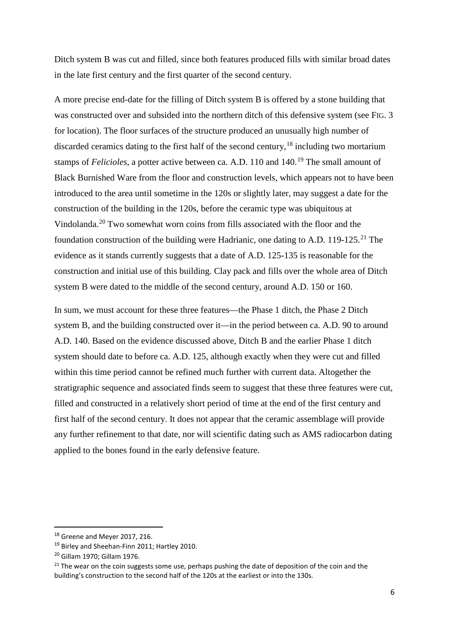Ditch system B was cut and filled, since both features produced fills with similar broad dates in the late first century and the first quarter of the second century.

A more precise end-date for the filling of Ditch system B is offered by a stone building that was constructed over and subsided into the northern ditch of this defensive system (see FIG. 3 for location). The floor surfaces of the structure produced an unusually high number of discarded ceramics dating to the first half of the second century,<sup>[18](#page-5-0)</sup> including two mortarium stamps of *Felicioles*, a potter active between ca. A.D. 110 and 140.<sup>[19](#page-5-1)</sup> The small amount of Black Burnished Ware from the floor and construction levels, which appears not to have been introduced to the area until sometime in the 120s or slightly later, may suggest a date for the construction of the building in the 120s, before the ceramic type was ubiquitous at Vindolanda. [20](#page-5-2) Two somewhat worn coins from fills associated with the floor and the foundation construction of the building were Hadrianic, one dating to A.D. 119-125.<sup>[21](#page-5-3)</sup> The evidence as it stands currently suggests that a date of A.D. 125-135 is reasonable for the construction and initial use of this building. Clay pack and fills over the whole area of Ditch system B were dated to the middle of the second century, around A.D. 150 or 160.

In sum, we must account for these three features—the Phase 1 ditch, the Phase 2 Ditch system B, and the building constructed over it—in the period between ca. A.D. 90 to around A.D. 140. Based on the evidence discussed above, Ditch B and the earlier Phase 1 ditch system should date to before ca. A.D. 125, although exactly when they were cut and filled within this time period cannot be refined much further with current data. Altogether the stratigraphic sequence and associated finds seem to suggest that these three features were cut, filled and constructed in a relatively short period of time at the end of the first century and first half of the second century. It does not appear that the ceramic assemblage will provide any further refinement to that date, nor will scientific dating such as AMS radiocarbon dating applied to the bones found in the early defensive feature.

<span id="page-5-0"></span><sup>18</sup> Greene and Meyer 2017, 216.

<span id="page-5-1"></span><sup>&</sup>lt;sup>19</sup> Birley and Sheehan-Finn 2011; Hartley 2010.

<span id="page-5-2"></span><sup>20</sup> Gillam 1970; Gillam 1976.

<span id="page-5-3"></span> $21$  The wear on the coin suggests some use, perhaps pushing the date of deposition of the coin and the building's construction to the second half of the 120s at the earliest or into the 130s.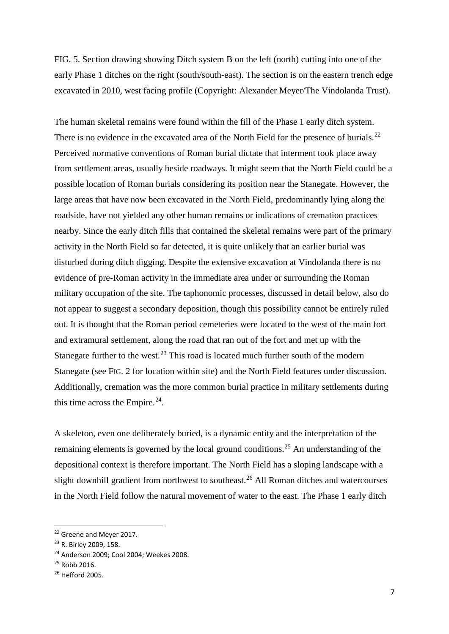FIG. 5. Section drawing showing Ditch system B on the left (north) cutting into one of the early Phase 1 ditches on the right (south/south-east). The section is on the eastern trench edge excavated in 2010, west facing profile (Copyright: Alexander Meyer/The Vindolanda Trust).

The human skeletal remains were found within the fill of the Phase 1 early ditch system. There is no evidence in the excavated area of the North Field for the presence of burials.<sup>[22](#page-6-0)</sup> Perceived normative conventions of Roman burial dictate that interment took place away from settlement areas, usually beside roadways. It might seem that the North Field could be a possible location of Roman burials considering its position near the Stanegate. However, the large areas that have now been excavated in the North Field, predominantly lying along the roadside, have not yielded any other human remains or indications of cremation practices nearby. Since the early ditch fills that contained the skeletal remains were part of the primary activity in the North Field so far detected, it is quite unlikely that an earlier burial was disturbed during ditch digging. Despite the extensive excavation at Vindolanda there is no evidence of pre-Roman activity in the immediate area under or surrounding the Roman military occupation of the site. The taphonomic processes, discussed in detail below, also do not appear to suggest a secondary deposition, though this possibility cannot be entirely ruled out. It is thought that the Roman period cemeteries were located to the west of the main fort and extramural settlement, along the road that ran out of the fort and met up with the Stanegate further to the west. $^{23}$  $^{23}$  $^{23}$  This road is located much further south of the modern Stanegate (see FIG. 2 for location within site) and the North Field features under discussion. Additionally, cremation was the more common burial practice in military settlements during this time across the Empire. [24](#page-6-2).

A skeleton, even one deliberately buried, is a dynamic entity and the interpretation of the remaining elements is governed by the local ground conditions.<sup>[25](#page-6-3)</sup> An understanding of the depositional context is therefore important. The North Field has a sloping landscape with a slight downhill gradient from northwest to southeast.<sup>[26](#page-6-4)</sup> All Roman ditches and watercourses in the North Field follow the natural movement of water to the east. The Phase 1 early ditch

<span id="page-6-0"></span><sup>&</sup>lt;sup>22</sup> Greene and Meyer 2017.

<span id="page-6-1"></span><sup>23</sup> R. Birley 2009, 158.

<span id="page-6-2"></span><sup>24</sup> Anderson 2009; Cool 2004; Weekes 2008.

<span id="page-6-3"></span><sup>25</sup> Robb 2016.

<span id="page-6-4"></span><sup>26</sup> Hefford 2005.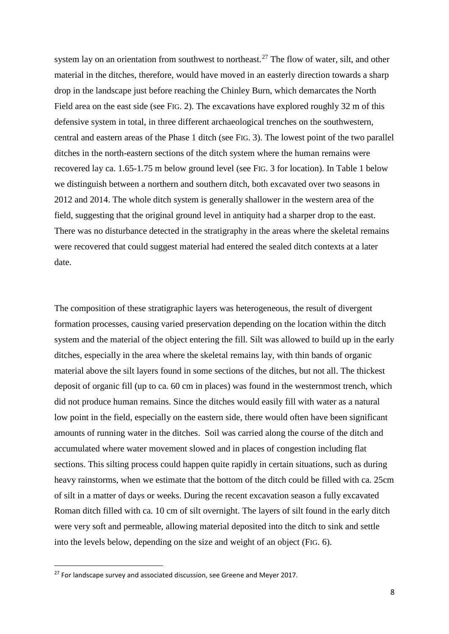system lay on an orientation from southwest to northeast.<sup>[27](#page-7-0)</sup> The flow of water, silt, and other material in the ditches, therefore, would have moved in an easterly direction towards a sharp drop in the landscape just before reaching the Chinley Burn, which demarcates the North Field area on the east side (see FIG. 2). The excavations have explored roughly 32 m of this defensive system in total, in three different archaeological trenches on the southwestern, central and eastern areas of the Phase 1 ditch (see FIG. 3). The lowest point of the two parallel ditches in the north-eastern sections of the ditch system where the human remains were recovered lay ca. 1.65-1.75 m below ground level (see FIG. 3 for location). In Table 1 below we distinguish between a northern and southern ditch, both excavated over two seasons in 2012 and 2014. The whole ditch system is generally shallower in the western area of the field, suggesting that the original ground level in antiquity had a sharper drop to the east. There was no disturbance detected in the stratigraphy in the areas where the skeletal remains were recovered that could suggest material had entered the sealed ditch contexts at a later date.

The composition of these stratigraphic layers was heterogeneous, the result of divergent formation processes, causing varied preservation depending on the location within the ditch system and the material of the object entering the fill. Silt was allowed to build up in the early ditches, especially in the area where the skeletal remains lay, with thin bands of organic material above the silt layers found in some sections of the ditches, but not all. The thickest deposit of organic fill (up to ca. 60 cm in places) was found in the westernmost trench, which did not produce human remains. Since the ditches would easily fill with water as a natural low point in the field, especially on the eastern side, there would often have been significant amounts of running water in the ditches. Soil was carried along the course of the ditch and accumulated where water movement slowed and in places of congestion including flat sections. This silting process could happen quite rapidly in certain situations, such as during heavy rainstorms, when we estimate that the bottom of the ditch could be filled with ca. 25cm of silt in a matter of days or weeks. During the recent excavation season a fully excavated Roman ditch filled with ca. 10 cm of silt overnight. The layers of silt found in the early ditch were very soft and permeable, allowing material deposited into the ditch to sink and settle into the levels below, depending on the size and weight of an object (FIG. 6).

<span id="page-7-0"></span> $27$  For landscape survey and associated discussion, see Greene and Meyer 2017.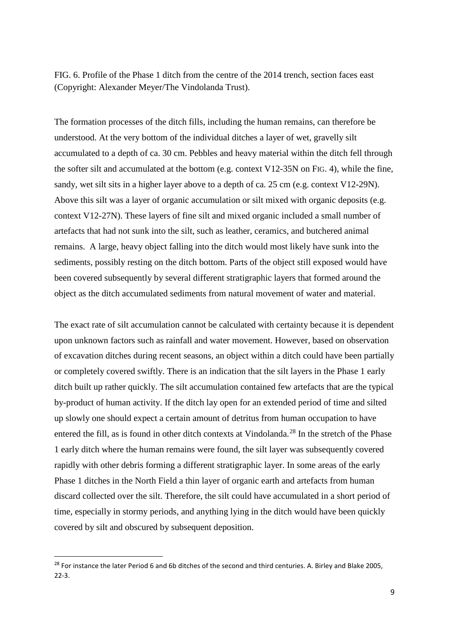FIG. 6. Profile of the Phase 1 ditch from the centre of the 2014 trench, section faces east (Copyright: Alexander Meyer/The Vindolanda Trust).

The formation processes of the ditch fills, including the human remains, can therefore be understood. At the very bottom of the individual ditches a layer of wet, gravelly silt accumulated to a depth of ca. 30 cm. Pebbles and heavy material within the ditch fell through the softer silt and accumulated at the bottom (e.g. context V12-35N on FIG. 4), while the fine, sandy, wet silt sits in a higher layer above to a depth of ca. 25 cm (e.g. context V12-29N). Above this silt was a layer of organic accumulation or silt mixed with organic deposits (e.g. context V12-27N). These layers of fine silt and mixed organic included a small number of artefacts that had not sunk into the silt, such as leather, ceramics, and butchered animal remains. A large, heavy object falling into the ditch would most likely have sunk into the sediments, possibly resting on the ditch bottom. Parts of the object still exposed would have been covered subsequently by several different stratigraphic layers that formed around the object as the ditch accumulated sediments from natural movement of water and material.

The exact rate of silt accumulation cannot be calculated with certainty because it is dependent upon unknown factors such as rainfall and water movement. However, based on observation of excavation ditches during recent seasons, an object within a ditch could have been partially or completely covered swiftly. There is an indication that the silt layers in the Phase 1 early ditch built up rather quickly. The silt accumulation contained few artefacts that are the typical by-product of human activity. If the ditch lay open for an extended period of time and silted up slowly one should expect a certain amount of detritus from human occupation to have entered the fill, as is found in other ditch contexts at Vindolanda.<sup>[28](#page-8-0)</sup> In the stretch of the Phase 1 early ditch where the human remains were found, the silt layer was subsequently covered rapidly with other debris forming a different stratigraphic layer. In some areas of the early Phase 1 ditches in the North Field a thin layer of organic earth and artefacts from human discard collected over the silt. Therefore, the silt could have accumulated in a short period of time, especially in stormy periods, and anything lying in the ditch would have been quickly covered by silt and obscured by subsequent deposition.

<span id="page-8-0"></span><sup>&</sup>lt;sup>28</sup> For instance the later Period 6 and 6b ditches of the second and third centuries. A. Birley and Blake 2005, 22-3.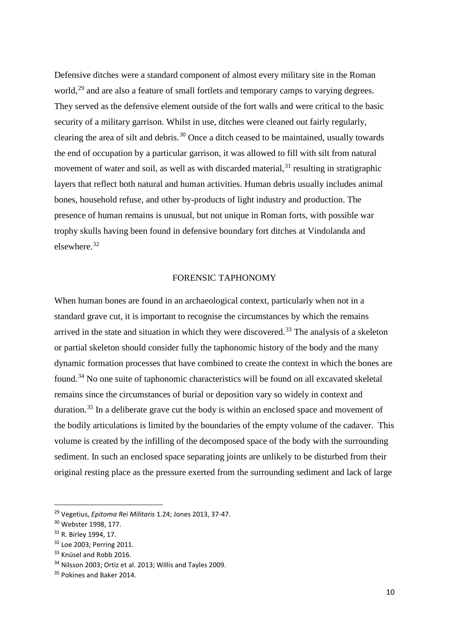Defensive ditches were a standard component of almost every military site in the Roman world,<sup>[29](#page-9-0)</sup> and are also a feature of small fortlets and temporary camps to varying degrees. They served as the defensive element outside of the fort walls and were critical to the basic security of a military garrison. Whilst in use, ditches were cleaned out fairly regularly, clearing the area of silt and debris.[30](#page-9-1) Once a ditch ceased to be maintained, usually towards the end of occupation by a particular garrison, it was allowed to fill with silt from natural movement of water and soil, as well as with discarded material, $31$  resulting in stratigraphic layers that reflect both natural and human activities. Human debris usually includes animal bones, household refuse, and other by-products of light industry and production. The presence of human remains is unusual, but not unique in Roman forts, with possible war trophy skulls having been found in defensive boundary fort ditches at Vindolanda and elsewhere.[32](#page-9-3) 

# FORENSIC TAPHONOMY

When human bones are found in an archaeological context, particularly when not in a standard grave cut, it is important to recognise the circumstances by which the remains arrived in the state and situation in which they were discovered.<sup>[33](#page-9-4)</sup> The analysis of a skeleton or partial skeleton should consider fully the taphonomic history of the body and the many dynamic formation processes that have combined to create the context in which the bones are found.[34](#page-9-5) No one suite of taphonomic characteristics will be found on all excavated skeletal remains since the circumstances of burial or deposition vary so widely in context and duration.<sup>[35](#page-9-6)</sup> In a deliberate grave cut the body is within an enclosed space and movement of the bodily articulations is limited by the boundaries of the empty volume of the cadaver. This volume is created by the infilling of the decomposed space of the body with the surrounding sediment. In such an enclosed space separating joints are unlikely to be disturbed from their original resting place as the pressure exerted from the surrounding sediment and lack of large

<span id="page-9-0"></span> <sup>29</sup> Vegetius, *Epitoma Rei Militaris* 1.24; Jones 2013, 37-47.

<span id="page-9-1"></span><sup>30</sup> Webster 1998, 177.

<span id="page-9-2"></span><sup>31</sup> R. Birley 1994, 17.

<span id="page-9-3"></span><sup>32</sup> Loe 2003; Perring 2011.

<span id="page-9-4"></span><sup>&</sup>lt;sup>33</sup> Knüsel and Robb 2016.

<span id="page-9-5"></span><sup>&</sup>lt;sup>34</sup> Nilsson 2003; Ortiz et al. 2013; Willis and Tayles 2009.

<span id="page-9-6"></span><sup>&</sup>lt;sup>35</sup> Pokines and Baker 2014.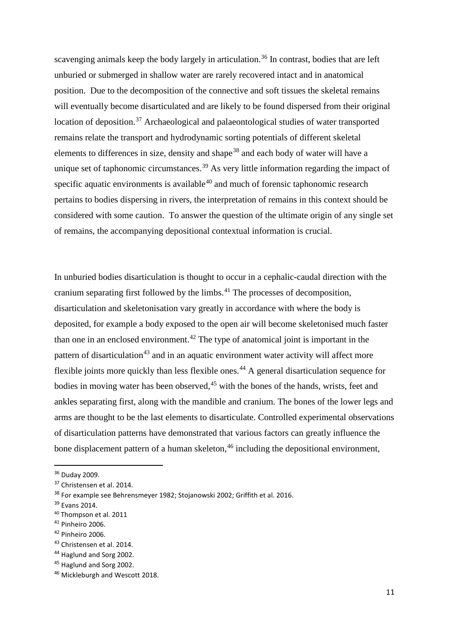scavenging animals keep the body largely in articulation.<sup>[36](#page-10-0)</sup> In contrast, bodies that are left unburied or submerged in shallow water are rarely recovered intact and in anatomical position. Due to the decomposition of the connective and soft tissues the skeletal remains will eventually become disarticulated and are likely to be found dispersed from their original location of deposition.<sup>[37](#page-10-1)</sup> Archaeological and palaeontological studies of water transported remains relate the transport and hydrodynamic sorting potentials of different skeletal elements to differences in size, density and shape<sup>[38](#page-10-2)</sup> and each body of water will have a unique set of taphonomic circumstances.<sup>[39](#page-10-3)</sup> As very little information regarding the impact of specific aquatic environments is available<sup>[40](#page-10-4)</sup> and much of forensic taphonomic research pertains to bodies dispersing in rivers, the interpretation of remains in this context should be considered with some caution. To answer the question of the ultimate origin of any single set of remains, the accompanying depositional contextual information is crucial.

In unburied bodies disarticulation is thought to occur in a cephalic-caudal direction with the cranium separating first followed by the limbs.[41](#page-10-5) The processes of decomposition, disarticulation and skeletonisation vary greatly in accordance with where the body is deposited, for example a body exposed to the open air will become skeletonised much faster than one in an enclosed environment.<sup>[42](#page-10-6)</sup> The type of anatomical joint is important in the pattern of disarticulation<sup>[43](#page-10-7)</sup> and in an aquatic environment water activity will affect more flexible joints more quickly than less flexible ones.<sup>[44](#page-10-8)</sup> A general disarticulation sequence for bodies in moving water has been observed.<sup>[45](#page-10-9)</sup> with the bones of the hands, wrists, feet and ankles separating first, along with the mandible and cranium. The bones of the lower legs and arms are thought to be the last elements to disarticulate. Controlled experimental observations of disarticulation patterns have demonstrated that various factors can greatly influence the bone displacement pattern of a human skeleton,  $46$  including the depositional environment,

<span id="page-10-0"></span> <sup>36</sup> Duday 2009.

<span id="page-10-1"></span><sup>37</sup> Christensen et al. 2014.

<span id="page-10-2"></span><sup>38</sup> For example see Behrensmeyer 1982; Stojanowski 2002; Griffith et al. 2016.

<span id="page-10-3"></span><sup>39</sup> Evans 2014.

<span id="page-10-4"></span><sup>40</sup> Thompson et al. 2011

<span id="page-10-5"></span> $41$  Pinheiro 2006.

<span id="page-10-6"></span><sup>42</sup> Pinheiro 2006.

<span id="page-10-7"></span><sup>43</sup> Christensen et al. 2014.

<span id="page-10-8"></span><sup>44</sup> Haglund and Sorg 2002.

<span id="page-10-9"></span><sup>45</sup> Haglund and Sorg 2002.

<span id="page-10-10"></span><sup>46</sup> Mickleburgh and Wescott 2018.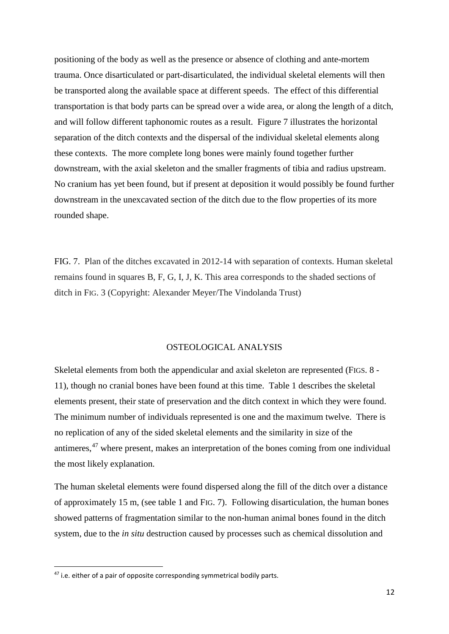positioning of the body as well as the presence or absence of clothing and ante-mortem trauma. Once disarticulated or part-disarticulated, the individual skeletal elements will then be transported along the available space at different speeds. The effect of this differential transportation is that body parts can be spread over a wide area, or along the length of a ditch, and will follow different taphonomic routes as a result. Figure 7 illustrates the horizontal separation of the ditch contexts and the dispersal of the individual skeletal elements along these contexts. The more complete long bones were mainly found together further downstream, with the axial skeleton and the smaller fragments of tibia and radius upstream. No cranium has yet been found, but if present at deposition it would possibly be found further downstream in the unexcavated section of the ditch due to the flow properties of its more rounded shape.

FIG. 7. Plan of the ditches excavated in 2012-14 with separation of contexts. Human skeletal remains found in squares B, F, G, I, J, K. This area corresponds to the shaded sections of ditch in FIG. 3 (Copyright: Alexander Meyer/The Vindolanda Trust)

## OSTEOLOGICAL ANALYSIS

Skeletal elements from both the appendicular and axial skeleton are represented (FIGS. 8 - 11), though no cranial bones have been found at this time. Table 1 describes the skeletal elements present, their state of preservation and the ditch context in which they were found. The minimum number of individuals represented is one and the maximum twelve. There is no replication of any of the sided skeletal elements and the similarity in size of the antimeres, [47](#page-11-0) where present, makes an interpretation of the bones coming from one individual the most likely explanation.

The human skeletal elements were found dispersed along the fill of the ditch over a distance of approximately 15 m, (see table 1 and FIG. 7). Following disarticulation, the human bones showed patterns of fragmentation similar to the non-human animal bones found in the ditch system, due to the *in situ* destruction caused by processes such as chemical dissolution and

<span id="page-11-0"></span><sup>&</sup>lt;sup>47</sup> i.e. either of a pair of opposite corresponding symmetrical bodily parts.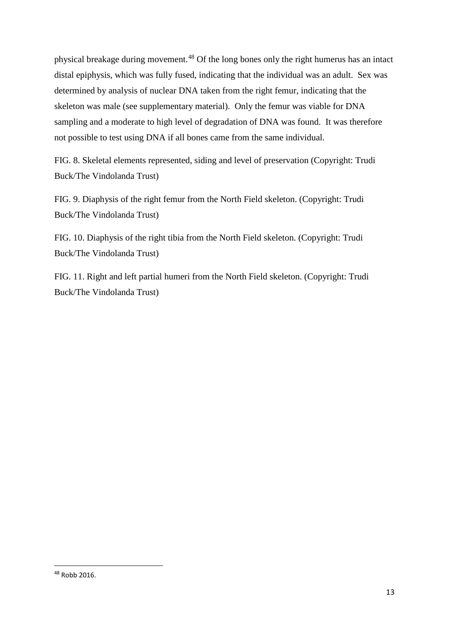physical breakage during movement.[48](#page-12-0) Of the long bones only the right humerus has an intact distal epiphysis, which was fully fused, indicating that the individual was an adult. Sex was determined by analysis of nuclear DNA taken from the right femur, indicating that the skeleton was male (see supplementary material). Only the femur was viable for DNA sampling and a moderate to high level of degradation of DNA was found. It was therefore not possible to test using DNA if all bones came from the same individual.

FIG. 8. Skeletal elements represented, siding and level of preservation (Copyright: Trudi Buck/The Vindolanda Trust)

FIG. 9. Diaphysis of the right femur from the North Field skeleton. (Copyright: Trudi Buck/The Vindolanda Trust)

FIG. 10. Diaphysis of the right tibia from the North Field skeleton. (Copyright: Trudi Buck/The Vindolanda Trust)

FIG. 11. Right and left partial humeri from the North Field skeleton. (Copyright: Trudi Buck/The Vindolanda Trust)

<span id="page-12-0"></span> <sup>48</sup> Robb 2016.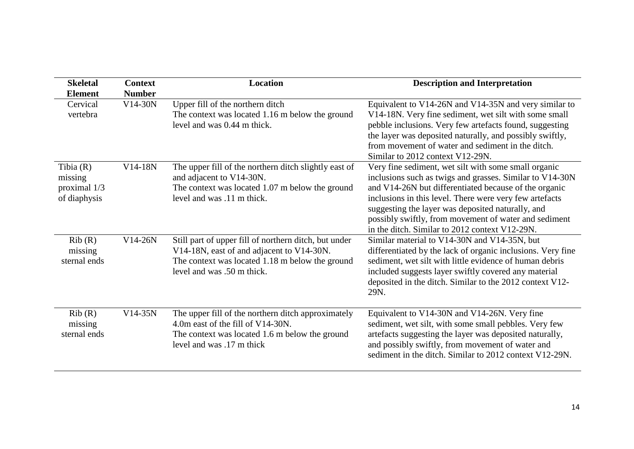| <b>Skeletal</b><br><b>Element</b>                      | <b>Context</b><br><b>Number</b> | Location                                                                                                                                                                            | <b>Description and Interpretation</b>                                                                                                                                                                                                                                                                                                                                                                |
|--------------------------------------------------------|---------------------------------|-------------------------------------------------------------------------------------------------------------------------------------------------------------------------------------|------------------------------------------------------------------------------------------------------------------------------------------------------------------------------------------------------------------------------------------------------------------------------------------------------------------------------------------------------------------------------------------------------|
| Cervical<br>vertebra                                   | $V14-30N$                       | Upper fill of the northern ditch<br>The context was located 1.16 m below the ground<br>level and was 0.44 m thick.                                                                  | Equivalent to V14-26N and V14-35N and very similar to<br>V14-18N. Very fine sediment, wet silt with some small<br>pebble inclusions. Very few artefacts found, suggesting<br>the layer was deposited naturally, and possibly swiftly,<br>from movement of water and sediment in the ditch.<br>Similar to 2012 context V12-29N.                                                                       |
| Tibia $(R)$<br>missing<br>proximal 1/3<br>of diaphysis | V14-18N                         | The upper fill of the northern ditch slightly east of<br>and adjacent to V14-30N.<br>The context was located 1.07 m below the ground<br>level and was .11 m thick.                  | Very fine sediment, wet silt with some small organic<br>inclusions such as twigs and grasses. Similar to V14-30N<br>and V14-26N but differentiated because of the organic<br>inclusions in this level. There were very few artefacts<br>suggesting the layer was deposited naturally, and<br>possibly swiftly, from movement of water and sediment<br>in the ditch. Similar to 2012 context V12-29N. |
| Rib(R)<br>missing<br>sternal ends                      | V14-26N                         | Still part of upper fill of northern ditch, but under<br>V14-18N, east of and adjacent to V14-30N.<br>The context was located 1.18 m below the ground<br>level and was .50 m thick. | Similar material to V14-30N and V14-35N, but<br>differentiated by the lack of organic inclusions. Very fine<br>sediment, wet silt with little evidence of human debris<br>included suggests layer swiftly covered any material<br>deposited in the ditch. Similar to the 2012 context V12-<br>29N.                                                                                                   |
| Rib(R)<br>missing<br>sternal ends                      | $V14-35N$                       | The upper fill of the northern ditch approximately<br>4.0m east of the fill of V14-30N.<br>The context was located 1.6 m below the ground<br>level and was .17 m thick              | Equivalent to V14-30N and V14-26N. Very fine<br>sediment, wet silt, with some small pebbles. Very few<br>artefacts suggesting the layer was deposited naturally,<br>and possibly swiftly, from movement of water and<br>sediment in the ditch. Similar to 2012 context V12-29N.                                                                                                                      |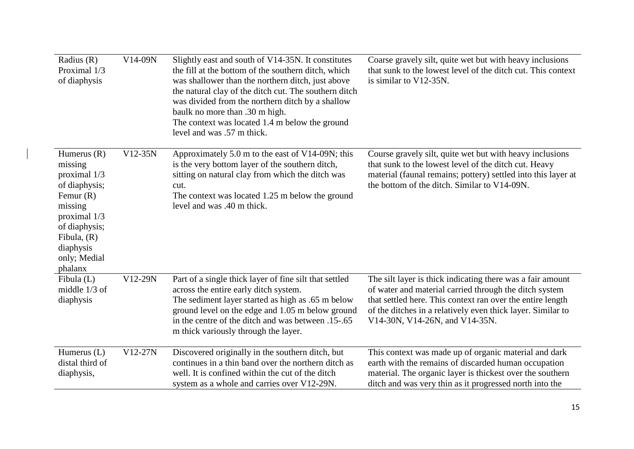| Radius $(R)$<br>Proximal 1/3<br>of diaphysis                                                                                                                                  | V14-09N | Slightly east and south of V14-35N. It constitutes<br>the fill at the bottom of the southern ditch, which<br>was shallower than the northern ditch, just above<br>the natural clay of the ditch cut. The southern ditch<br>was divided from the northern ditch by a shallow<br>baulk no more than .30 m high.<br>The context was located 1.4 m below the ground<br>level and was .57 m thick. | Coarse gravely silt, quite wet but with heavy inclusions<br>that sunk to the lowest level of the ditch cut. This context<br>is similar to V12-35N.                                                                                                                                  |
|-------------------------------------------------------------------------------------------------------------------------------------------------------------------------------|---------|-----------------------------------------------------------------------------------------------------------------------------------------------------------------------------------------------------------------------------------------------------------------------------------------------------------------------------------------------------------------------------------------------|-------------------------------------------------------------------------------------------------------------------------------------------------------------------------------------------------------------------------------------------------------------------------------------|
| Humerus $(R)$<br>missing<br>proximal 1/3<br>of diaphysis;<br>Femur $(R)$<br>missing<br>proximal 1/3<br>of diaphysis;<br>Fibula, $(R)$<br>diaphysis<br>only; Medial<br>phalanx | V12-35N | Approximately 5.0 m to the east of V14-09N; this<br>is the very bottom layer of the southern ditch,<br>sitting on natural clay from which the ditch was<br>cut.<br>The context was located 1.25 m below the ground<br>level and was .40 m thick.                                                                                                                                              | Course gravely silt, quite wet but with heavy inclusions<br>that sunk to the lowest level of the ditch cut. Heavy<br>material (faunal remains; pottery) settled into this layer at<br>the bottom of the ditch. Similar to V14-09N.                                                  |
| Fibula $(L)$<br>middle $1/3$ of<br>diaphysis                                                                                                                                  | V12-29N | Part of a single thick layer of fine silt that settled<br>across the entire early ditch system.<br>The sediment layer started as high as .65 m below<br>ground level on the edge and 1.05 m below ground<br>in the centre of the ditch and was between .15-.65<br>m thick variously through the layer.                                                                                        | The silt layer is thick indicating there was a fair amount<br>of water and material carried through the ditch system<br>that settled here. This context ran over the entire length<br>of the ditches in a relatively even thick layer. Similar to<br>V14-30N, V14-26N, and V14-35N. |
| Humerus $(L)$<br>distal third of<br>diaphysis,                                                                                                                                | V12-27N | Discovered originally in the southern ditch, but<br>continues in a thin band over the northern ditch as<br>well. It is confined within the cut of the ditch<br>system as a whole and carries over V12-29N.                                                                                                                                                                                    | This context was made up of organic material and dark<br>earth with the remains of discarded human occupation<br>material. The organic layer is thickest over the southern<br>ditch and was very thin as it progressed north into the                                               |

 $\begin{array}{c} \hline \end{array}$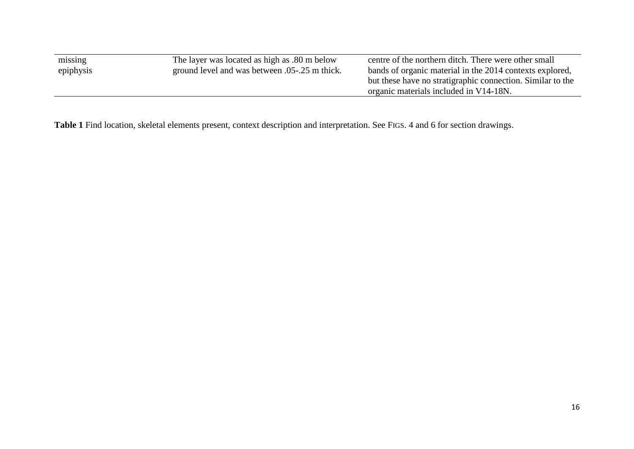| missing   | The layer was located as high as .80 m below    | centre of the northern ditch. There were other small       |
|-----------|-------------------------------------------------|------------------------------------------------------------|
| epiphysis | ground level and was between 0.05 - 25 m thick. | bands of organic material in the 2014 contexts explored,   |
|           |                                                 | but these have no stratigraphic connection. Similar to the |
|           |                                                 | organic materials included in V14-18N.                     |
|           |                                                 |                                                            |

**Table 1** Find location, skeletal elements present, context description and interpretation. See FIGS. 4 and 6 for section drawings.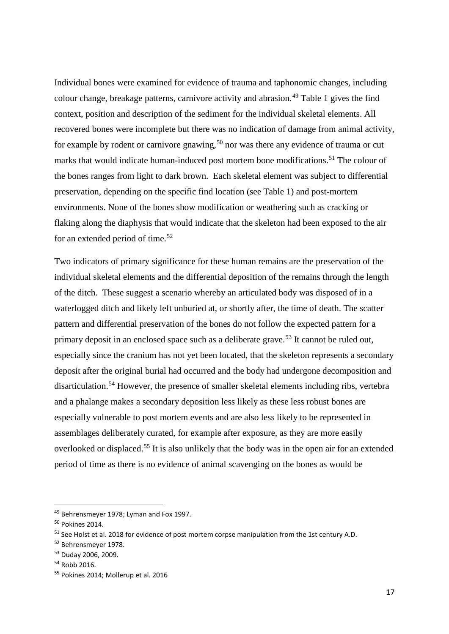Individual bones were examined for evidence of trauma and taphonomic changes, including colour change, breakage patterns, carnivore activity and abrasion.<sup>[49](#page-16-0)</sup> Table 1 gives the find context, position and description of the sediment for the individual skeletal elements. All recovered bones were incomplete but there was no indication of damage from animal activity, for example by rodent or carnivore gnawing,<sup>[50](#page-16-1)</sup> nor was there any evidence of trauma or cut marks that would indicate human-induced post mortem bone modifications.<sup>[51](#page-16-2)</sup> The colour of the bones ranges from light to dark brown. Each skeletal element was subject to differential preservation, depending on the specific find location (see Table 1) and post-mortem environments. None of the bones show modification or weathering such as cracking or flaking along the diaphysis that would indicate that the skeleton had been exposed to the air for an extended period of time.<sup>[52](#page-16-3)</sup>

Two indicators of primary significance for these human remains are the preservation of the individual skeletal elements and the differential deposition of the remains through the length of the ditch. These suggest a scenario whereby an articulated body was disposed of in a waterlogged ditch and likely left unburied at, or shortly after, the time of death. The scatter pattern and differential preservation of the bones do not follow the expected pattern for a primary deposit in an enclosed space such as a deliberate grave.<sup>[53](#page-16-4)</sup> It cannot be ruled out, especially since the cranium has not yet been located, that the skeleton represents a secondary deposit after the original burial had occurred and the body had undergone decomposition and disarticulation.[54](#page-16-5) However, the presence of smaller skeletal elements including ribs, vertebra and a phalange makes a secondary deposition less likely as these less robust bones are especially vulnerable to post mortem events and are also less likely to be represented in assemblages deliberately curated, for example after exposure, as they are more easily overlooked or displaced.[55](#page-16-6) It is also unlikely that the body was in the open air for an extended period of time as there is no evidence of animal scavenging on the bones as would be

<span id="page-16-0"></span><sup>&</sup>lt;sup>49</sup> Behrensmeyer 1978; Lyman and Fox 1997.

<span id="page-16-1"></span><sup>50</sup> Pokines 2014.

<span id="page-16-2"></span><sup>&</sup>lt;sup>51</sup> See Holst et al. 2018 for evidence of post mortem corpse manipulation from the 1st century A.D.

<span id="page-16-3"></span><sup>52</sup> Behrensmeyer 1978.

<span id="page-16-4"></span><sup>53</sup> Duday 2006, 2009.

<span id="page-16-5"></span><sup>54</sup> Robb 2016.

<span id="page-16-6"></span><sup>55</sup> Pokines 2014; Mollerup et al. 2016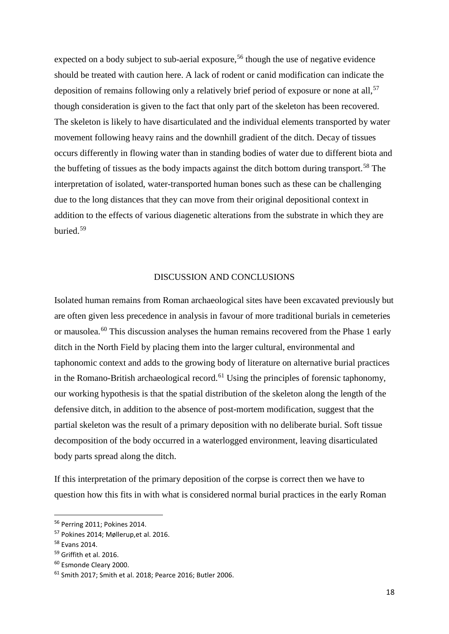expected on a body subject to sub-aerial exposure,<sup>[56](#page-17-0)</sup> though the use of negative evidence should be treated with caution here. A lack of rodent or canid modification can indicate the deposition of remains following only a relatively brief period of exposure or none at all,  $57$ though consideration is given to the fact that only part of the skeleton has been recovered. The skeleton is likely to have disarticulated and the individual elements transported by water movement following heavy rains and the downhill gradient of the ditch. Decay of tissues occurs differently in flowing water than in standing bodies of water due to different biota and the buffeting of tissues as the body impacts against the ditch bottom during transport.<sup>[58](#page-17-2)</sup> The interpretation of isolated, water-transported human bones such as these can be challenging due to the long distances that they can move from their original depositional context in addition to the effects of various diagenetic alterations from the substrate in which they are buried.[59](#page-17-3)

# DISCUSSION AND CONCLUSIONS

Isolated human remains from Roman archaeological sites have been excavated previously but are often given less precedence in analysis in favour of more traditional burials in cemeteries or mausolea.<sup>[60](#page-17-4)</sup> This discussion analyses the human remains recovered from the Phase 1 early ditch in the North Field by placing them into the larger cultural, environmental and taphonomic context and adds to the growing body of literature on alternative burial practices in the Romano-British archaeological record.<sup>[61](#page-17-5)</sup> Using the principles of forensic taphonomy, our working hypothesis is that the spatial distribution of the skeleton along the length of the defensive ditch, in addition to the absence of post-mortem modification, suggest that the partial skeleton was the result of a primary deposition with no deliberate burial. Soft tissue decomposition of the body occurred in a waterlogged environment, leaving disarticulated body parts spread along the ditch.

If this interpretation of the primary deposition of the corpse is correct then we have to question how this fits in with what is considered normal burial practices in the early Roman

<span id="page-17-0"></span> <sup>56</sup> Perring 2011; Pokines 2014.

<span id="page-17-1"></span><sup>57</sup> Pokines 2014; Møllerup,et al. 2016.

<span id="page-17-2"></span><sup>58</sup> Evans 2014.

<span id="page-17-3"></span><sup>&</sup>lt;sup>59</sup> Griffith et al. 2016.

<span id="page-17-4"></span><sup>60</sup> Esmonde Cleary 2000.

<span id="page-17-5"></span><sup>61</sup> Smith 2017; Smith et al. 2018; Pearce 2016; Butler 2006.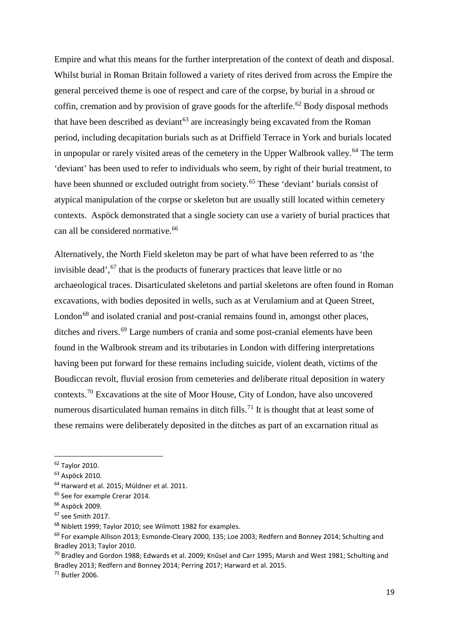Empire and what this means for the further interpretation of the context of death and disposal. Whilst burial in Roman Britain followed a variety of rites derived from across the Empire the general perceived theme is one of respect and care of the corpse, by burial in a shroud or coffin, cremation and by provision of grave goods for the afterlife.<sup>[62](#page-18-0)</sup> Body disposal methods that have been described as deviant<sup> $63$ </sup> are increasingly being excavated from the Roman period, including decapitation burials such as at Driffield Terrace in York and burials located in unpopular or rarely visited areas of the cemetery in the Upper Walbrook valley.<sup>[64](#page-18-2)</sup> The term 'deviant' has been used to refer to individuals who seem, by right of their burial treatment, to have been shunned or excluded outright from society.<sup>[65](#page-18-3)</sup> These 'deviant' burials consist of atypical manipulation of the corpse or skeleton but are usually still located within cemetery contexts. Aspöck demonstrated that a single society can use a variety of burial practices that can all be considered normative.<sup>[66](#page-18-4)</sup>

Alternatively, the North Field skeleton may be part of what have been referred to as 'the invisible dead',  $67$  that is the products of funerary practices that leave little or no archaeological traces. Disarticulated skeletons and partial skeletons are often found in Roman excavations, with bodies deposited in wells, such as at Verulamium and at Queen Street, London<sup>[68](#page-18-6)</sup> and isolated cranial and post-cranial remains found in, amongst other places, ditches and rivers.<sup>[69](#page-18-7)</sup> Large numbers of crania and some post-cranial elements have been found in the Walbrook stream and its tributaries in London with differing interpretations having been put forward for these remains including suicide, violent death, victims of the Boudiccan revolt, fluvial erosion from cemeteries and deliberate ritual deposition in watery contexts.<sup>[70](#page-18-8)</sup> Excavations at the site of Moor House, City of London, have also uncovered numerous disarticulated human remains in ditch fills.<sup>[71](#page-18-9)</sup> It is thought that at least some of these remains were deliberately deposited in the ditches as part of an excarnation ritual as

<span id="page-18-0"></span> <sup>62</sup> Taylor 2010.

<span id="page-18-1"></span><sup>63</sup> Aspöck 2010.

<span id="page-18-2"></span><sup>&</sup>lt;sup>64</sup> Harward et al. 2015; Müldner et al. 2011.

<span id="page-18-3"></span><sup>&</sup>lt;sup>65</sup> See for example Crerar 2014.

<span id="page-18-4"></span><sup>66</sup> Aspöck 2009.

<span id="page-18-5"></span><sup>67</sup> see Smith 2017.

<span id="page-18-6"></span><sup>68</sup> Niblett 1999; Taylor 2010; see Wilmott 1982 for examples.

<span id="page-18-7"></span><sup>&</sup>lt;sup>69</sup> For example Allison 2013; Esmonde-Cleary 2000, 135; Loe 2003; Redfern and Bonney 2014; Schulting and Bradley 2013; Taylor 2010.

<span id="page-18-8"></span> $^{70}$  Bradley and Gordon 1988; Edwards et al. 2009; Knűsel and Carr 1995; Marsh and West 1981; Schulting and Bradley 2013; Redfern and Bonney 2014; Perring 2017; Harward et al. 2015.

<span id="page-18-9"></span><sup>71</sup> Butler 2006.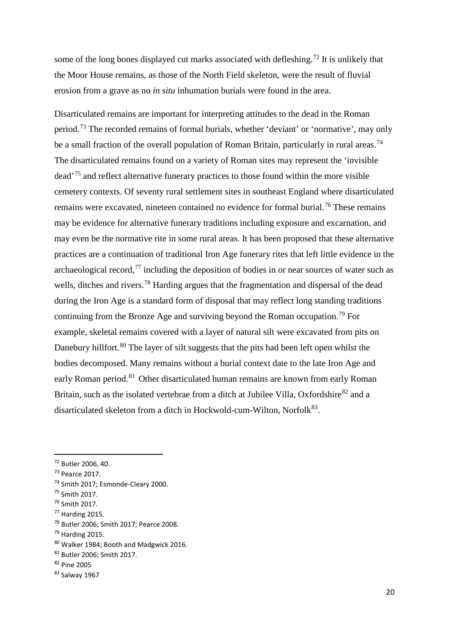some of the long bones displayed cut marks associated with defleshing.<sup>[72](#page-19-0)</sup> It is unlikely that the Moor House remains, as those of the North Field skeleton, were the result of fluvial erosion from a grave as no *in situ* inhumation burials were found in the area.

Disarticulated remains are important for interpreting attitudes to the dead in the Roman period.[73](#page-19-1) The recorded remains of formal burials, whether 'deviant' or 'normative', may only be a small fraction of the overall population of Roman Britain, particularly in rural areas.<sup>[74](#page-19-2)</sup> The disarticulated remains found on a variety of Roman sites may represent the 'invisible dead'[75](#page-19-3) and reflect alternative funerary practices to those found within the more visible cemetery contexts. Of seventy rural settlement sites in southeast England where disarticulated remains were excavated, nineteen contained no evidence for formal burial.<sup>[76](#page-19-4)</sup> These remains may be evidence for alternative funerary traditions including exposure and excarnation, and may even be the normative rite in some rural areas. It has been proposed that these alternative practices are a continuation of traditional Iron Age funerary rites that left little evidence in the archaeological record,  $^{77}$  $^{77}$  $^{77}$  including the deposition of bodies in or near sources of water such as wells, ditches and rivers.<sup>[78](#page-19-6)</sup> Harding argues that the fragmentation and dispersal of the dead during the Iron Age is a standard form of disposal that may reflect long standing traditions continuing from the Bronze Age and surviving beyond the Roman occupation.<sup>[79](#page-19-7)</sup> For example, skeletal remains covered with a layer of natural silt were excavated from pits on Danebury hillfort.<sup>[80](#page-19-8)</sup> The layer of silt suggests that the pits had been left open whilst the bodies decomposed. Many remains without a burial context date to the late Iron Age and early Roman period.<sup>[81](#page-19-9)</sup> Other disarticulated human remains are known from early Roman Britain, such as the isolated vertebrae from a ditch at Jubilee Villa, Oxfordshire $^{82}$  $^{82}$  $^{82}$  and a disarticulated skeleton from a ditch in Hockwold-cum-Wilton, Norfolk $^{83}$  $^{83}$  $^{83}$ .

<span id="page-19-0"></span> <sup>72</sup> Butler 2006, 40.

<span id="page-19-1"></span><sup>73</sup> Pearce 2017.

<span id="page-19-2"></span><sup>74</sup> Smith 2017; Esmonde-Cleary 2000.

<span id="page-19-3"></span><sup>75</sup> Smith 2017.

<span id="page-19-4"></span><sup>76</sup> Smith 2017.

<span id="page-19-5"></span><sup>77</sup> Harding 2015.

<span id="page-19-6"></span><sup>78</sup> Butler 2006; Smith 2017; Pearce 2008.

<span id="page-19-7"></span><sup>79</sup> Harding 2015.

<span id="page-19-8"></span><sup>80</sup> Walker 1984; Booth and Madgwick 2016.

<span id="page-19-9"></span><sup>81</sup> Butler 2006; Smith 2017.

<span id="page-19-10"></span><sup>82</sup> Pine 2005

<span id="page-19-11"></span><sup>83</sup> Salway 1967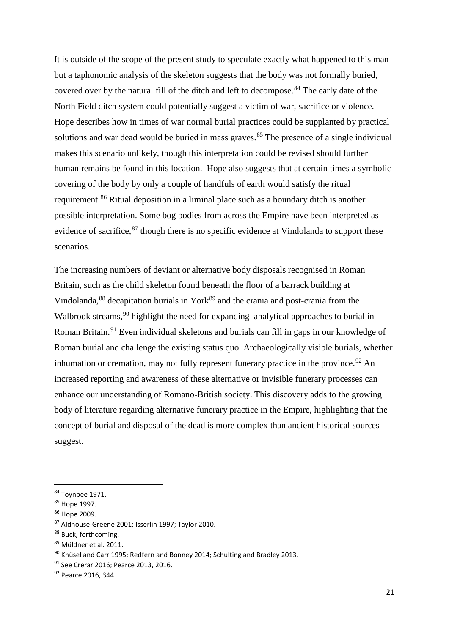It is outside of the scope of the present study to speculate exactly what happened to this man but a taphonomic analysis of the skeleton suggests that the body was not formally buried, covered over by the natural fill of the ditch and left to decompose.<sup>[84](#page-20-0)</sup> The early date of the North Field ditch system could potentially suggest a victim of war, sacrifice or violence. Hope describes how in times of war normal burial practices could be supplanted by practical solutions and war dead would be buried in mass graves.<sup>[85](#page-20-1)</sup> The presence of a single individual makes this scenario unlikely, though this interpretation could be revised should further human remains be found in this location. Hope also suggests that at certain times a symbolic covering of the body by only a couple of handfuls of earth would satisfy the ritual requirement.<sup>[86](#page-20-2)</sup> Ritual deposition in a liminal place such as a boundary ditch is another possible interpretation. Some bog bodies from across the Empire have been interpreted as evidence of sacrifice, <sup>[87](#page-20-3)</sup> though there is no specific evidence at Vindolanda to support these scenarios.

The increasing numbers of deviant or alternative body disposals recognised in Roman Britain, such as the child skeleton found beneath the floor of a barrack building at Vindolanda,  $88$  decapitation burials in York $89$  and the crania and post-crania from the Walbrook streams,<sup>[90](#page-20-6)</sup> highlight the need for expanding analytical approaches to burial in Roman Britain.<sup>[91](#page-20-7)</sup> Even individual skeletons and burials can fill in gaps in our knowledge of Roman burial and challenge the existing status quo. Archaeologically visible burials, whether inhumation or cremation, may not fully represent funerary practice in the province.<sup>[92](#page-20-8)</sup> An increased reporting and awareness of these alternative or invisible funerary processes can enhance our understanding of Romano-British society. This discovery adds to the growing body of literature regarding alternative funerary practice in the Empire, highlighting that the concept of burial and disposal of the dead is more complex than ancient historical sources suggest.

<span id="page-20-0"></span> <sup>84</sup> Toynbee 1971.

<span id="page-20-1"></span><sup>85</sup> Hope 1997.

<span id="page-20-2"></span><sup>86</sup> Hope 2009.

<span id="page-20-3"></span><sup>87</sup> Aldhouse-Greene 2001; Isserlin 1997; Taylor 2010.

<span id="page-20-4"></span><sup>88</sup> Buck, forthcoming.

<span id="page-20-5"></span><sup>89</sup> Müldner et al. 2011.

<span id="page-20-6"></span><sup>90</sup> Knűsel and Carr 1995; Redfern and Bonney 2014; Schulting and Bradley 2013.

<span id="page-20-7"></span><sup>91</sup> See Crerar 2016; Pearce 2013, 2016.

<span id="page-20-8"></span><sup>&</sup>lt;sup>92</sup> Pearce 2016, 344.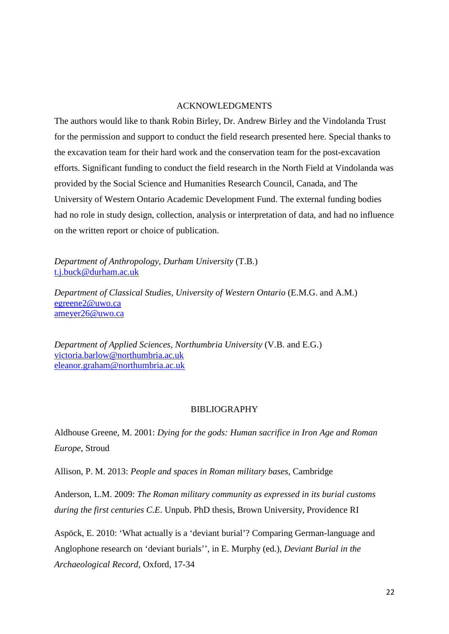### ACKNOWLEDGMENTS

The authors would like to thank Robin Birley, Dr. Andrew Birley and the Vindolanda Trust for the permission and support to conduct the field research presented here. Special thanks to the excavation team for their hard work and the conservation team for the post-excavation efforts. Significant funding to conduct the field research in the North Field at Vindolanda was provided by the Social Science and Humanities Research Council, Canada, and The University of Western Ontario Academic Development Fund. The external funding bodies had no role in study design, collection, analysis or interpretation of data, and had no influence on the written report or choice of publication.

*Department of Anthropology, Durham University* (T.B.) [t.j.buck@durham.ac.uk](mailto:t.j.buck@durham.ac.uk)

*Department of Classical Studies, University of Western Ontario* (E.M.G. and A.M.) [egreene2@uwo.ca](mailto:egreene2@uwo.ca) [ameyer26@uwo.ca](mailto:ameyer26@uwo.ca)

*Department of Applied Sciences, Northumbria University* (V.B. and E.G.) [victoria.barlow@northumbria.ac.uk](mailto:victoria.barlow@northumbria.ac.uk) [eleanor.graham@northumbria.ac.uk](mailto:eleanor.graham@northumbria.ac.uk)

# BIBLIOGRAPHY

Aldhouse Greene, M. 2001: *Dying for the gods: Human sacrifice in Iron Age and Roman Europe*, Stroud

Allison, P. M. 2013: *People and spaces in Roman military bases,* Cambridge

Anderson, L.M. 2009: *The Roman military community as expressed in its burial customs during the first centuries C.E*. Unpub. PhD thesis, Brown University, Providence RI

Aspöck, E. 2010: 'What actually is a 'deviant burial'? Comparing German-language and Anglophone research on 'deviant burials'', in E. Murphy (ed.), *Deviant Burial in the Archaeological Record*, Oxford, 17-34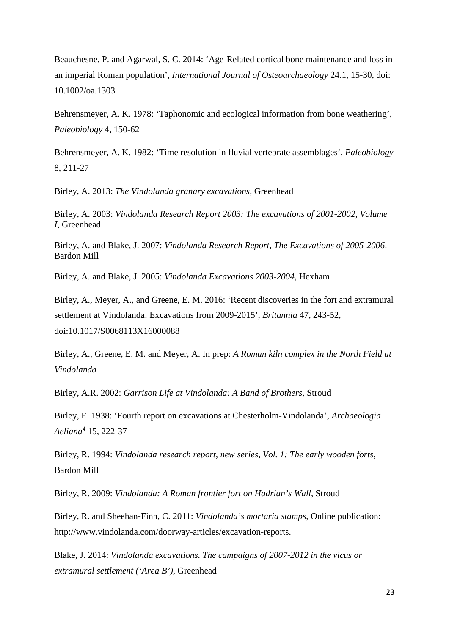Beauchesne, P. and Agarwal, S. C. 2014: 'Age-Related cortical bone maintenance and loss in an imperial Roman population', *International Journal of Osteoarchaeology* 24.1, 15-30, doi: 10.1002/oa.1303

Behrensmeyer, A. K. 1978: 'Taphonomic and ecological information from bone weathering', *Paleobiology* 4, 150-62

Behrensmeyer, A. K. 1982: 'Time resolution in fluvial vertebrate assemblages', *Paleobiology* 8, 211-27

Birley, A. 2013: *The Vindolanda granary excavations*, Greenhead

Birley, A. 2003: *Vindolanda Research Report 2003: The excavations of 2001-2002, Volume I*, Greenhead

Birley, A. and Blake, J. 2007: *Vindolanda Research Report, The Excavations of 2005-2006*. Bardon Mill

Birley, A. and Blake, J. 2005: *Vindolanda Excavations 2003-2004*, Hexham

Birley, A., Meyer, A., and Greene, E. M. 2016: 'Recent discoveries in the fort and extramural settlement at Vindolanda: Excavations from 2009-2015', *Britannia* 47, 243-52, doi:10.1017/S0068113X16000088

Birley, A., Greene, E. M. and Meyer, A. In prep: *A Roman kiln complex in the North Field at Vindolanda*

Birley, A.R. 2002: *Garrison Life at Vindolanda: A Band of Brothers*, Stroud

Birley, E. 1938: 'Fourth report on excavations at Chesterholm-Vindolanda', *Archaeologia Aeliana*<sup>4</sup> 15, 222-37

Birley, R. 1994: *Vindolanda research report, new series, Vol. 1: The early wooden forts*, Bardon Mill

Birley, R. 2009: *Vindolanda: A Roman frontier fort on Hadrian's Wall*, Stroud

Birley, R. and Sheehan-Finn, C. 2011: *Vindolanda's mortaria stamps*, Online publication: http://www.vindolanda.com/doorway-articles/excavation-reports.

Blake, J. 2014: *Vindolanda excavations. The campaigns of 2007-2012 in the vicus or extramural settlement ('Area B')*, Greenhead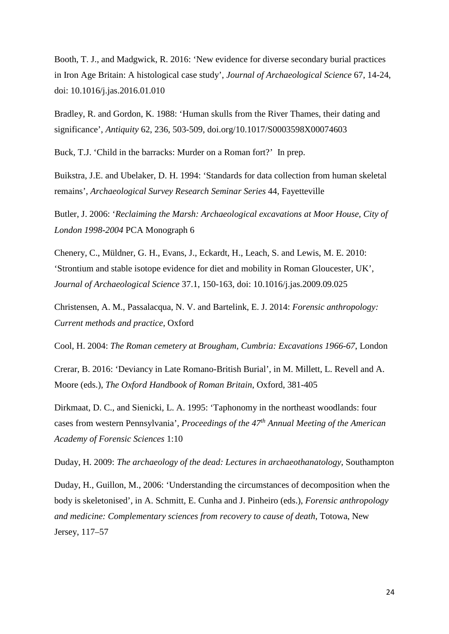Booth, T. J., and Madgwick, R. 2016: 'New evidence for diverse secondary burial practices in Iron Age Britain: A histological case study', *Journal of Archaeological Science* 67, 14-24, doi: 10.1016/j.jas.2016.01.010

Bradley, R. and Gordon, K. 1988: 'Human skulls from the River Thames, their dating and significance', *Antiquity* 62, 236, 503-509, doi.org/10.1017/S0003598X00074603

Buck, T.J. 'Child in the barracks: Murder on a Roman fort?' In prep.

Buikstra, J.E. and Ubelaker, D. H. 1994: 'Standards for data collection from human skeletal remains', *Archaeological Survey Research Seminar Series* 44, Fayetteville

Butler, J. 2006: '*Reclaiming the Marsh: Archaeological excavations at Moor House, City of London 1998-2004* PCA Monograph 6

Chenery, C., Müldner, G. H., Evans, J., Eckardt, H., Leach, S. and Lewis, M. E. 2010: 'Strontium and stable isotope evidence for diet and mobility in Roman Gloucester, UK', *Journal of Archaeological Science* 37.1, 150-163, doi: 10.1016/j.jas.2009.09.025

Christensen, A. M., Passalacqua, N. V. and Bartelink, E. J. 2014: *Forensic anthropology: Current methods and practice*, Oxford

Cool, H. 2004: *The Roman cemetery at Brougham, Cumbria: Excavations 1966-67*, London

Crerar, B. 2016: 'Deviancy in Late Romano-British Burial', in M. Millett, L. Revell and A. Moore (eds.), *The Oxford Handbook of Roman Britain*, Oxford, 381-405

Dirkmaat, D. C., and Sienicki, L. A. 1995: 'Taphonomy in the northeast woodlands: four cases from western Pennsylvania', *Proceedings of the 47th Annual Meeting of the American Academy of Forensic Sciences* 1:10

Duday, H. 2009: *The archaeology of the dead: Lectures in archaeothanatology*, Southampton

Duday, H., Guillon, M., 2006: 'Understanding the circumstances of decomposition when the body is skeletonised', in A. Schmitt, E. Cunha and J. Pinheiro (eds.), *Forensic anthropology and medicine: Complementary sciences from recovery to cause of death*, Totowa, New Jersey, 117–57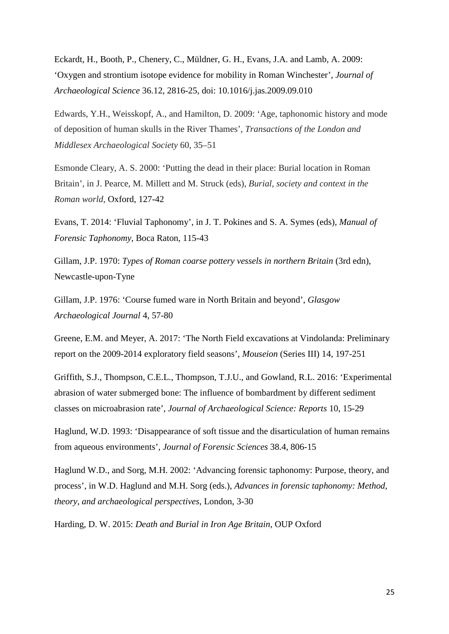Eckardt, H., Booth, P., Chenery, C., Müldner, G. H., Evans, J.A. and Lamb, A. 2009: 'Oxygen and strontium isotope evidence for mobility in Roman Winchester', *Journal of Archaeological Science* 36.12, 2816-25, doi: 10.1016/j.jas.2009.09.010

Edwards, Y.H., Weisskopf, A., and Hamilton, D. 2009: 'Age, taphonomic history and mode of deposition of human skulls in the River Thames', *Transactions of the London and Middlesex Archaeological Society* 60, 35–51

Esmonde Cleary, A. S. 2000: 'Putting the dead in their place: Burial location in Roman Britain', in J. Pearce, M. Millett and M. Struck (eds), *Burial, society and context in the Roman world*, Oxford, 127-42

Evans, T. 2014: 'Fluvial Taphonomy', in J. T. Pokines and S. A. Symes (eds), *Manual of Forensic Taphonomy*, Boca Raton, 115-43

Gillam, J.P. 1970: *Types of Roman coarse pottery vessels in northern Britain* (3rd edn), Newcastle-upon-Tyne

Gillam, J.P. 1976: 'Course fumed ware in North Britain and beyond', *Glasgow Archaeological Journal* 4, 57-80

Greene, E.M. and Meyer, A. 2017: 'The North Field excavations at Vindolanda: Preliminary report on the 2009-2014 exploratory field seasons', *Mouseion* (Series III) 14, 197-251

Griffith, S.J., Thompson, C.E.L., Thompson, T.J.U., and Gowland, R.L. 2016: 'Experimental abrasion of water submerged bone: The influence of bombardment by different sediment classes on microabrasion rate', *Journal of Archaeological Science: Reports* 10, 15-29

Haglund, W.D. 1993: 'Disappearance of soft tissue and the disarticulation of human remains from aqueous environments', *Journal of Forensic Sciences* 38.4, 806-15

Haglund W.D., and Sorg, M.H. 2002: 'Advancing forensic taphonomy: Purpose, theory, and process', in W.D. Haglund and M.H. Sorg (eds.), *Advances in forensic taphonomy: Method, theory, and archaeological perspectives*, London, 3-30

Harding, D. W. 2015: *Death and Burial in Iron Age Britain*, OUP Oxford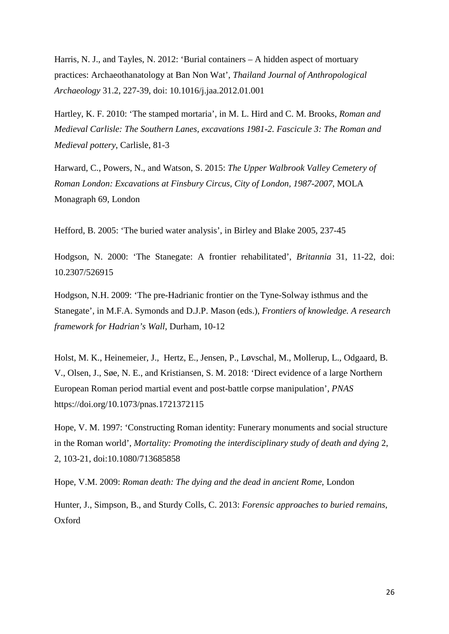Harris, N. J., and Tayles, N. 2012: 'Burial containers – A hidden aspect of mortuary practices: Archaeothanatology at Ban Non Wat', *Thailand Journal of Anthropological Archaeology* 31.2, 227-39, doi: 10.1016/j.jaa.2012.01.001

Hartley, K. F. 2010: 'The stamped mortaria', in M. L. Hird and C. M. Brooks, *Roman and Medieval Carlisle: The Southern Lanes, excavations 1981-2. Fascicule 3: The Roman and Medieval pottery*, Carlisle, 81-3

Harward, C., Powers, N., and Watson, S. 2015: *The Upper Walbrook Valley Cemetery of Roman London: Excavations at Finsbury Circus, City of London, 1987-2007*, MOLA Monagraph 69, London

Hefford, B. 2005: 'The buried water analysis', in Birley and Blake 2005, 237-45

Hodgson, N. 2000: 'The Stanegate: A frontier rehabilitated', *Britannia* 31, 11-22, doi: 10.2307/526915

Hodgson, N.H. 2009: 'The pre-Hadrianic frontier on the Tyne-Solway isthmus and the Stanegate', in M.F.A. Symonds and D.J.P. Mason (eds.), *Frontiers of knowledge. A research framework for Hadrian's Wall*, Durham, 10-12

Holst, M. K., Heinemeier, J., Hertz, E., Jensen, P., Løvschal, M., Mollerup, L., Odgaard, B. V., Olsen, J., Søe, N. E., and Kristiansen, S. M. 2018: 'Direct evidence of a large Northern European Roman period martial event and post-battle corpse manipulation', *PNAS* https://doi.org/10.1073/pnas.1721372115

Hope, V. M. 1997: 'Constructing Roman identity: Funerary monuments and social structure in the Roman world', *Mortality: Promoting the interdisciplinary study of death and dying* 2, 2, 103-21, doi:10.1080/713685858

Hope, V.M. 2009: *Roman death: The dying and the dead in ancient Rome*, London

Hunter, J., Simpson, B., and Sturdy Colls, C. 2013: *Forensic approaches to buried remains*, Oxford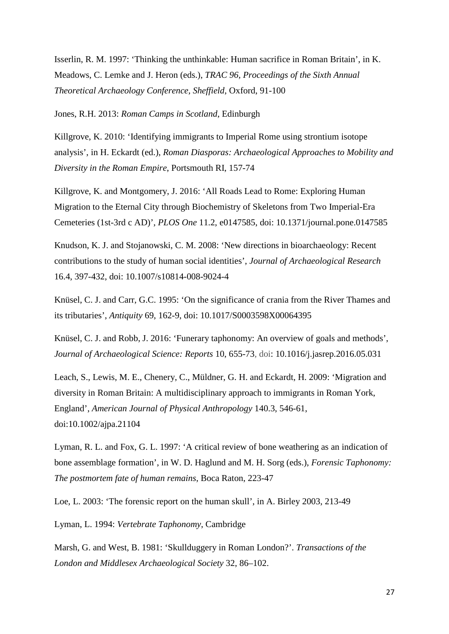Isserlin, R. M. 1997: 'Thinking the unthinkable: Human sacrifice in Roman Britain', in K. Meadows, C. Lemke and J. Heron (eds.), *TRAC 96, Proceedings of the Sixth Annual Theoretical Archaeology Conference, Sheffield*, Oxford, 91-100

Jones, R.H. 2013: *Roman Camps in Scotland*, Edinburgh

Killgrove, K. 2010: 'Identifying immigrants to Imperial Rome using strontium isotope analysis', in H. Eckardt (ed.), *Roman Diasporas: Archaeological Approaches to Mobility and Diversity in the Roman Empire*, Portsmouth RI, 157-74

Killgrove, K. and Montgomery, J. 2016: 'All Roads Lead to Rome: Exploring Human Migration to the Eternal City through Biochemistry of Skeletons from Two Imperial-Era Cemeteries (1st-3rd c AD)', *PLOS One* 11.2, e0147585, doi: 10.1371/journal.pone.0147585

Knudson, K. J. and Stojanowski, C. M. 2008: 'New directions in bioarchaeology: Recent contributions to the study of human social identities', *Journal of Archaeological Research* 16.4, 397-432, doi: 10.1007/s10814-008-9024-4

Knüsel, C. J. and Carr, G.C. 1995: 'On the significance of crania from the River Thames and its tributaries', *Antiquity* 69, 162-9, doi: 10.1017/S0003598X00064395

Knüsel, C. J. and Robb, J. 2016: 'Funerary taphonomy: An overview of goals and methods', *Journal of Archaeological Science: Reports* 10, 655-73, doi: 10.1016/j.jasrep.2016.05.031

Leach, S., Lewis, M. E., Chenery, C., Müldner, G. H. and Eckardt, H. 2009: 'Migration and diversity in Roman Britain: A multidisciplinary approach to immigrants in Roman York, England', *American Journal of Physical Anthropology* 140.3, 546-61, doi:10.1002/ajpa.21104

Lyman, R. L. and Fox, G. L. 1997: 'A critical review of bone weathering as an indication of bone assemblage formation', in W. D. Haglund and M. H. Sorg (eds.), *Forensic Taphonomy: The postmortem fate of human remains*, Boca Raton, 223-47

Loe, L. 2003: 'The forensic report on the human skull', in A. Birley 2003, 213-49

Lyman, L. 1994: *Vertebrate Taphonomy*, Cambridge

Marsh, G. and West, B. 1981: 'Skullduggery in Roman London?'. *Transactions of the London and Middlesex Archaeological Society* 32, 86–102.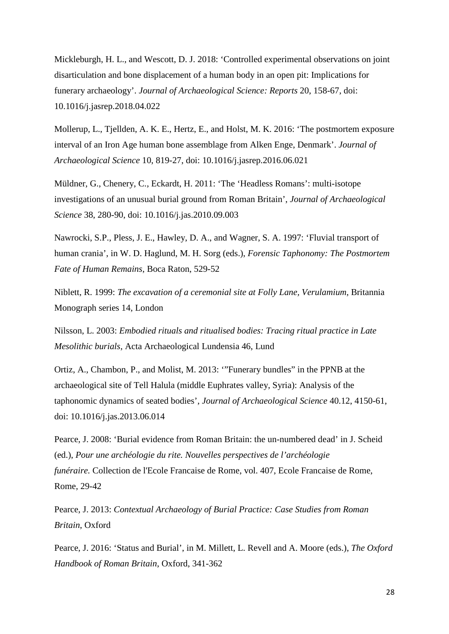Mickleburgh, H. L., and Wescott, D. J. 2018: 'Controlled experimental observations on joint disarticulation and bone displacement of a human body in an open pit: Implications for funerary archaeology'. *Journal of Archaeological Science: Reports* 20, 158-67, doi: 10.1016/j.jasrep.2018.04.022

Mollerup, L., Tjellden, A. K. E., Hertz, E., and Holst, M. K. 2016: 'The postmortem exposure interval of an Iron Age human bone assemblage from Alken Enge, Denmark'. *Journal of Archaeological Science* 10, 819-27, doi: 10.1016/j.jasrep.2016.06.021

Müldner, G., Chenery, C., Eckardt, H. 2011: 'The 'Headless Romans': multi-isotope investigations of an unusual burial ground from Roman Britain', *Journal of Archaeological Science* 38, 280-90, doi: 10.1016/j.jas.2010.09.003

Nawrocki, S.P., Pless, J. E., Hawley, D. A., and Wagner, S. A. 1997: 'Fluvial transport of human crania', in W. D. Haglund, M. H. Sorg (eds.), *Forensic Taphonomy: The Postmortem Fate of Human Remains*, Boca Raton, 529-52

Niblett, R. 1999: *The excavation of a ceremonial site at Folly Lane, Verulamium*, Britannia Monograph series 14, London

Nilsson, L. 2003: *Embodied rituals and ritualised bodies: Tracing ritual practice in Late Mesolithic burials*, Acta Archaeological Lundensia 46, Lund

Ortiz, A., Chambon, P., and Molist, M. 2013: '"Funerary bundles" in the PPNB at the archaeological site of Tell Halula (middle Euphrates valley, Syria): Analysis of the taphonomic dynamics of seated bodies', *Journal of Archaeological Science* 40.12, 4150-61, doi: 10.1016/j.jas.2013.06.014

Pearce, J. 2008: 'Burial evidence from Roman Britain: the un-numbered dead' in J. Scheid (ed.), *Pour une archéologie du rite. Nouvelles perspectives de l'archéologie funéraire.* Collection de l'Ecole Francaise de Rome, vol. 407, Ecole Francaise de Rome, Rome, 29-42

Pearce, J. 2013: *Contextual Archaeology of Burial Practice: Case Studies from Roman Britain*, Oxford

Pearce, J. 2016: 'Status and Burial', in M. Millett, L. Revell and A. Moore (eds.), *The Oxford Handbook of Roman Britain*, Oxford, 341-362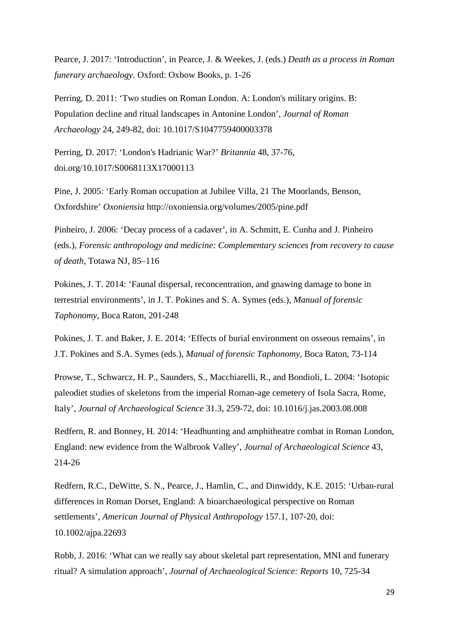Pearce, J. 2017: 'Introduction', in Pearce, J. & Weekes, J. (eds.) *Death as a process in Roman funerary archaeology*. Oxford: Oxbow Books, p. 1-26

Perring, D. 2011: 'Two studies on Roman London. A: London's military origins. B: Population decline and ritual landscapes in Antonine London', *Journal of Roman Archaeology* 24, 249-82, doi: 10.1017/S1047759400003378

Perring, D. 2017: 'London's Hadrianic War?' *Britannia* 48, 37-76, doi.org/10.1017/S0068113X17000113

Pine, J. 2005: 'Early Roman occupation at Jubilee Villa, 21 The Moorlands, Benson, Oxfordshire' *Oxoniensia* http://oxoniensia.org/volumes/2005/pine.pdf

Pinheiro, J. 2006: 'Decay process of a cadaver', in A. Schmitt, E. Cunha and J. Pinheiro (eds.), *Forensic anthropology and medicine: Complementary sciences from recovery to cause of death*, Totawa NJ, 85–116

Pokines, J. T. 2014: 'Faunal dispersal, reconcentration, and gnawing damage to bone in terrestrial environments', in J. T. Pokines and S. A. Symes (eds.), *Manual of forensic Taphonomy*, Boca Raton, 201-248

Pokines, J. T. and Baker, J. E. 2014: 'Effects of burial environment on osseous remains', in J.T. Pokines and S.A. Symes (eds.), *Manual of forensic Taphonomy*, Boca Raton, 73-114

Prowse, T., Schwarcz, H. P., Saunders, S., Macchiarelli, R., and Bondioli, L. 2004: 'Isotopic paleodiet studies of skeletons from the imperial Roman-age cemetery of Isola Sacra, Rome, Italy', *Journal of Archaeological Science* 31.3, 259-72, doi: 10.1016/j.jas.2003.08.008

Redfern, R. and Bonney, H. 2014: 'Headhunting and amphitheatre combat in Roman London, England: new evidence from the Walbrook Valley', *Journal of Archaeological Science* 43, 214-26

Redfern, R.C., DeWitte, S. N., Pearce, J., Hamlin, C., and Dinwiddy, K.E. 2015: 'Urban-rural differences in Roman Dorset, England: A bioarchaeological perspective on Roman settlements', *American Journal of Physical Anthropology* 157.1, 107-20, doi: 10.1002/ajpa.22693

Robb, J. 2016: 'What can we really say about skeletal part representation, MNI and funerary ritual? A simulation approach', *Journal of Archaeological Science: Reports* 10, 725-34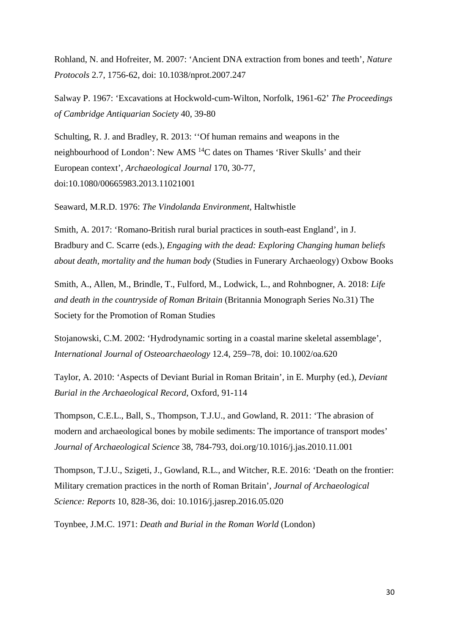Rohland, N. and Hofreiter, M. 2007: 'Ancient DNA extraction from bones and teeth', *Nature Protocols* 2.7, 1756-62, doi: 10.1038/nprot.2007.247

Salway P. 1967: 'Excavations at Hockwold-cum-Wilton, Norfolk, 1961-62' *The Proceedings of Cambridge Antiquarian Society* 40, 39-80

Schulting, R. J. and Bradley, R. 2013: ''Of human remains and weapons in the neighbourhood of London': New AMS 14C dates on Thames 'River Skulls' and their European context', *Archaeological Journal* 170, 30-77, doi:10.1080/00665983.2013.11021001

Seaward, M.R.D. 1976: *The Vindolanda Environment*, Haltwhistle

Smith, A. 2017: 'Romano-British rural burial practices in south-east England', in J. Bradbury and C. Scarre (eds.), *Engaging with the dead: Exploring Changing human beliefs about death, mortality and the human body* (Studies in Funerary Archaeology) Oxbow Books

Smith, A., Allen, M., Brindle, T., Fulford, M., Lodwick, L., and Rohnbogner, A. 2018: *Life and death in the countryside of Roman Britain* (Britannia Monograph Series No.31) The Society for the Promotion of Roman Studies

Stojanowski, C.M. 2002: 'Hydrodynamic sorting in a coastal marine skeletal assemblage', *International Journal of Osteoarchaeology* 12.4, 259–78, doi: 10.1002/oa.620

Taylor, A. 2010: 'Aspects of Deviant Burial in Roman Britain', in E. Murphy (ed.), *Deviant Burial in the Archaeological Record*, Oxford, 91-114

Thompson, C.E.L., Ball, S., Thompson, T.J.U., and Gowland, R. 2011: 'The abrasion of modern and archaeological bones by mobile sediments: The importance of transport modes' *Journal of Archaeological Science* 38, 784-793, doi.org/10.1016/j.jas.2010.11.001

Thompson, T.J.U., Szigeti, J., Gowland, R.L., and Witcher, R.E. 2016: 'Death on the frontier: Military cremation practices in the north of Roman Britain', *Journal of Archaeological Science: Reports* 10, 828-36, doi: 10.1016/j.jasrep.2016.05.020

Toynbee, J.M.C. 1971: *Death and Burial in the Roman World* (London)